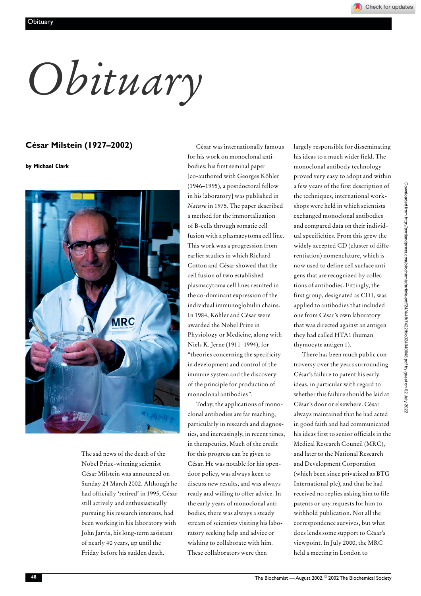*Obituary*

## **César Milstein (1927–2002)**

**by Michael Clark**



The sad news of the death of the Nobel Prize-winning scientist César Milstein was announced on Sunday 24 March 2002. Although he had officially 'retired' in 1995, César still actively and enthusiastically pursuing his research interests, had been working in his laboratory with John Jarvis, his long-term assistant of nearly 40 years, up until the Friday before his sudden death.

César was internationally famous for his work on monoclonal antibodies; his first seminal paper [co-authored with Georges Köhler (1946–1995), a postdoctoral fellow in his laboratory] was published in *Nature* in 1975. The paper described a method for the immortalization of B-cells through somatic cell fusion with a plasmacytoma cell line. This work was a progression from earlier studies in which Richard Cotton and César showed that the cell fusion of two established plasmacytoma cell lines resulted in the co-dominant expression of the individual immunoglobulin chains. In 1984, Köhler and César were awarded the Nobel Prize in Physiology or Medicine, along with Niels K. Jerne (1911–1994), for "theories concerning the specificity in development and control of the immune system and the discovery of the principle for production of monoclonal antibodies".

Today, the applications of monoclonal antibodies are far reaching, particularly in research and diagnostics, and increasingly, in recent times, in therapeutics. Much of the credit for this progress can be given to César. He was notable for his opendoor policy, was always keen to discuss new results, and was always ready and willing to offer advice. In the early years of monoclonal antibodies, there was always a steady stream of scientists visiting his laboratory seeking help and advice or wishing to collaborate with him. These collaborators were then

largely responsible for disseminating his ideas to a much wider field. The monoclonal antibody technology proved very easy to adopt and within a few years of the first description of the techniques, international workshops were held in which scientists exchanged monoclonal antibodies and compared data on their individual specificities. From this grew the widely accepted CD (cluster of differentiation) nomenclature, which is now used to define cell surface antigens that are recognized by collections of antibodies. Fittingly, the first group, designated as CD1, was applied to antibodies that included one from César's own laboratory that was directed against an antigen they had called HTA1 (human thymocyte antigen 1).

There has been much public controversy over the years surrounding César's failure to patent his early ideas, in particular with regard to whether this failure should be laid at César's door or elsewhere. César always maintained that he had acted in good faith and had communicated his ideas first to senior officials in the Medical Research Council (MRC), and later to the National Research and Development Corporation (which been since privatized as BTG International plc), and that he had received no replies asking him to file patents or any requests for him to withhold publication. Not all the correspondence survives, but what does lends some support to César's viewpoint. In July 2000, the MRC held a meeting in London to